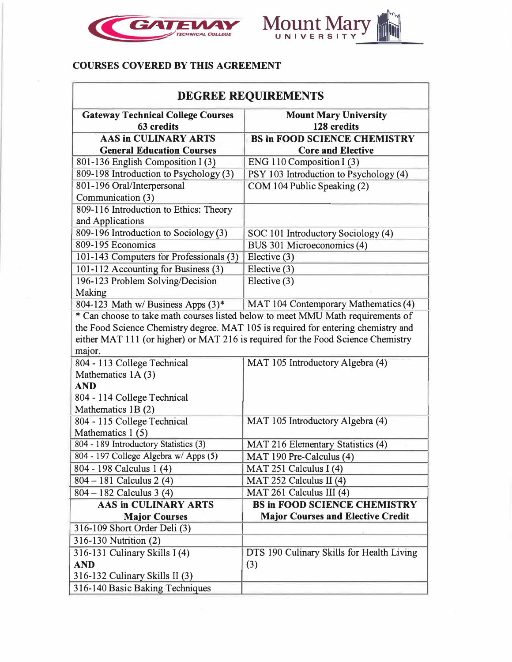



## **COURSES COVERED BY THIS AGREEMENT**

| <b>DEGREE REQUIREMENTS</b>                                                      |                                                                                   |  |
|---------------------------------------------------------------------------------|-----------------------------------------------------------------------------------|--|
| <b>Gateway Technical College Courses</b><br>63 credits                          | <b>Mount Mary University</b><br>128 credits                                       |  |
| <b>AAS in CULINARY ARTS</b>                                                     | <b>BS in FOOD SCIENCE CHEMISTRY</b>                                               |  |
| <b>General Education Courses</b>                                                | <b>Core and Elective</b>                                                          |  |
| 801-136 English Composition I (3)                                               | ENG 110 Composition I (3)                                                         |  |
| 809-198 Introduction to Psychology (3)                                          | PSY 103 Introduction to Psychology (4)                                            |  |
| 801-196 Oral/Interpersonal                                                      | COM 104 Public Speaking (2)                                                       |  |
| Communication (3)                                                               |                                                                                   |  |
| 809-116 Introduction to Ethics: Theory                                          |                                                                                   |  |
| and Applications                                                                |                                                                                   |  |
| 809-196 Introduction to Sociology (3)                                           | SOC 101 Introductory Sociology (4)                                                |  |
| 809-195 Economics                                                               | BUS 301 Microeconomics (4)                                                        |  |
| 101-143 Computers for Professionals (3)                                         | Elective (3)                                                                      |  |
| 101-112 Accounting for Business (3)                                             | Elective (3)                                                                      |  |
| 196-123 Problem Solving/Decision                                                | Elective $(3)$                                                                    |  |
| Making                                                                          |                                                                                   |  |
| 804-123 Math w/ Business Apps $(3)^*$                                           | MAT 104 Contemporary Mathematics (4)                                              |  |
| * Can choose to take math courses listed below to meet MMU Math requirements of |                                                                                   |  |
|                                                                                 | the Food Science Chemistry degree. MAT 105 is required for entering chemistry and |  |
|                                                                                 | either MAT 111 (or higher) or MAT 216 is required for the Food Science Chemistry  |  |
| major.                                                                          |                                                                                   |  |
| 804 - 113 College Technical                                                     | MAT 105 Introductory Algebra (4)                                                  |  |
| Mathematics 1A (3)                                                              |                                                                                   |  |
| <b>AND</b>                                                                      |                                                                                   |  |
| 804 - 114 College Technical                                                     |                                                                                   |  |
| Mathematics 1B(2)                                                               |                                                                                   |  |
| 804 - 115 College Technical                                                     | MAT 105 Introductory Algebra (4)                                                  |  |
| Mathematics 1(5)                                                                |                                                                                   |  |
| 804 - 189 Introductory Statistics (3)                                           | MAT 216 Elementary Statistics (4)                                                 |  |
| 804 - 197 College Algebra w/ Apps (5)                                           | MAT 190 Pre-Calculus (4)                                                          |  |
| 804 - 198 Calculus 1 (4)                                                        | MAT 251 Calculus I (4)                                                            |  |
| 804 – 181 Calculus 2 (4)                                                        | MAT 252 Calculus II (4)                                                           |  |
| $804 - 182$ Calculus 3 (4)                                                      | MAT 261 Calculus III (4)                                                          |  |
| <b>AAS in CULINARY ARTS</b>                                                     | <b>BS in FOOD SCIENCE CHEMISTRY</b>                                               |  |
| <b>Major Courses</b>                                                            | <b>Major Courses and Elective Credit</b>                                          |  |
| 316-109 Short Order Deli (3)                                                    |                                                                                   |  |
| 316-130 Nutrition (2)                                                           |                                                                                   |  |
| 316-131 Culinary Skills I (4)                                                   | DTS 190 Culinary Skills for Health Living                                         |  |
| <b>AND</b>                                                                      | (3)                                                                               |  |
| 316-132 Culinary Skills II (3)                                                  |                                                                                   |  |
| 316-140 Basic Baking Techniques                                                 |                                                                                   |  |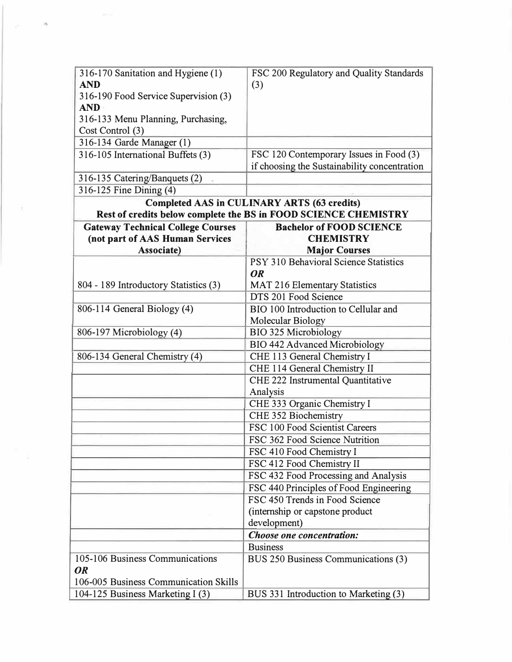| 316-170 Sanitation and Hygiene (1)       | FSC 200 Regulatory and Quality Standards                        |
|------------------------------------------|-----------------------------------------------------------------|
| <b>AND</b>                               | (3)                                                             |
| 316-190 Food Service Supervision (3)     |                                                                 |
| <b>AND</b>                               |                                                                 |
| 316-133 Menu Planning, Purchasing,       |                                                                 |
| Cost Control (3)                         |                                                                 |
| 316-134 Garde Manager (1)                |                                                                 |
| 316-105 International Buffets (3)        | FSC 120 Contemporary Issues in Food (3)                         |
|                                          | if choosing the Sustainability concentration                    |
| 316-135 Catering/Banquets (2)            |                                                                 |
| 316-125 Fine Dining (4)                  |                                                                 |
|                                          | <b>Completed AAS in CULINARY ARTS (63 credits)</b>              |
|                                          | Rest of credits below complete the BS in FOOD SCIENCE CHEMISTRY |
| <b>Gateway Technical College Courses</b> | <b>Bachelor of FOOD SCIENCE</b>                                 |
| (not part of AAS Human Services          | <b>CHEMISTRY</b>                                                |
| Associate)                               | <b>Major Courses</b>                                            |
|                                          | PSY 310 Behavioral Science Statistics                           |
|                                          | <b>OR</b>                                                       |
| 804 - 189 Introductory Statistics (3)    | <b>MAT 216 Elementary Statistics</b>                            |
|                                          | DTS 201 Food Science                                            |
| 806-114 General Biology (4)              | BIO 100 Introduction to Cellular and                            |
|                                          | Molecular Biology                                               |
| 806-197 Microbiology (4)                 | <b>BIO 325 Microbiology</b>                                     |
|                                          | <b>BIO 442 Advanced Microbiology</b>                            |
| 806-134 General Chemistry (4)            | CHE 113 General Chemistry I                                     |
|                                          | CHE 114 General Chemistry II                                    |
|                                          | CHE 222 Instrumental Quantitative                               |
|                                          | Analysis                                                        |
|                                          | CHE 333 Organic Chemistry I                                     |
|                                          | CHE 352 Biochemistry                                            |
|                                          | FSC 100 Food Scientist Careers                                  |
|                                          | FSC 362 Food Science Nutrition                                  |
|                                          | FSC 410 Food Chemistry I                                        |
|                                          | FSC 412 Food Chemistry II                                       |
|                                          | FSC 432 Food Processing and Analysis                            |
|                                          | FSC 440 Principles of Food Engineering                          |
|                                          | FSC 450 Trends in Food Science                                  |
|                                          | (internship or capstone product                                 |
|                                          | development)                                                    |
|                                          | Choose one concentration:                                       |
|                                          | <b>Business</b>                                                 |
| 105-106 Business Communications          | BUS 250 Business Communications (3)                             |
| <b>OR</b>                                |                                                                 |
| 106-005 Business Communication Skills    |                                                                 |
| 104-125 Business Marketing I (3)         | BUS 331 Introduction to Marketing (3)                           |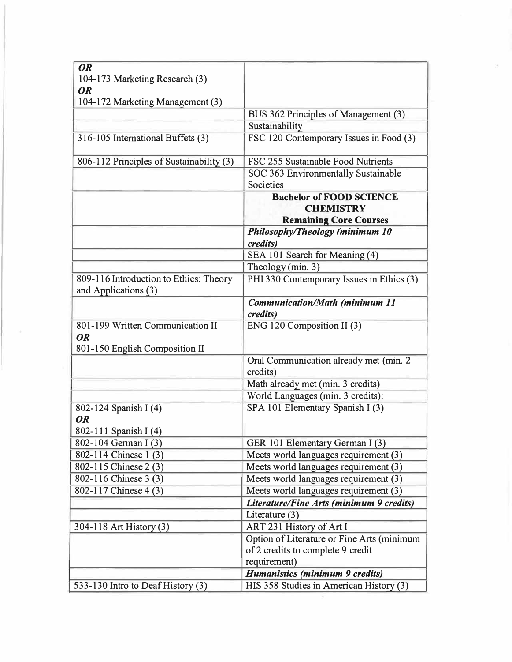| <b>OR</b><br>104-173 Marketing Research (3)                                     |                                                     |
|---------------------------------------------------------------------------------|-----------------------------------------------------|
| <b>OR</b>                                                                       |                                                     |
| 104-172 Marketing Management (3)                                                |                                                     |
|                                                                                 | BUS 362 Principles of Management (3)                |
|                                                                                 | Sustainability                                      |
| 316-105 International Buffets (3)                                               | FSC 120 Contemporary Issues in Food (3)             |
| 806-112 Principles of Sustainability (3)                                        | FSC 255 Sustainable Food Nutrients                  |
|                                                                                 | SOC 363 Environmentally Sustainable                 |
|                                                                                 | Societies                                           |
|                                                                                 | <b>Bachelor of FOOD SCIENCE</b><br><b>CHEMISTRY</b> |
|                                                                                 | <b>Remaining Core Courses</b>                       |
|                                                                                 | Philosophy/Theology (minimum 10                     |
|                                                                                 | credits)                                            |
|                                                                                 | SEA 101 Search for Meaning (4)                      |
|                                                                                 | Theology (min. 3)                                   |
| 809-116 Introduction to Ethics: Theory<br>and Applications (3)                  | PHI 330 Contemporary Issues in Ethics (3)           |
|                                                                                 | Communication/Math (minimum 11<br>credits)          |
| 801-199 Written Communication II<br><b>OR</b><br>801-150 English Composition II | ENG 120 Composition II (3)                          |
|                                                                                 | Oral Communication already met (min. 2<br>credits)  |
|                                                                                 | Math already met (min. 3 credits)                   |
|                                                                                 | World Languages (min. 3 credits):                   |
| 802-124 Spanish I (4)<br><b>OR</b>                                              | SPA 101 Elementary Spanish I (3)                    |
| 802-111 Spanish I (4)                                                           |                                                     |
| 802-104 German I (3)                                                            | GER 101 Elementary German I (3)                     |
| 802-114 Chinese 1 (3)                                                           | Meets world languages requirement (3)               |
| 802-115 Chinese 2 (3)                                                           | Meets world languages requirement (3)               |
| 802-116 Chinese 3 (3)                                                           | Meets world languages requirement (3)               |
| 802-117 Chinese 4 (3)                                                           | Meets world languages requirement (3)               |
|                                                                                 | Literature/Fine Arts (minimum 9 credits)            |
|                                                                                 | Literature $(3)$                                    |
| 304-118 Art History (3)                                                         | ART 231 History of Art I                            |
|                                                                                 | Option of Literature or Fine Arts (minimum          |
|                                                                                 | of 2 credits to complete 9 credit                   |
|                                                                                 | requirement)                                        |
|                                                                                 | Humanistics (minimum 9 credits)                     |
| 533-130 Intro to Deaf History (3)                                               | HIS 358 Studies in American History (3)             |

ł.

š,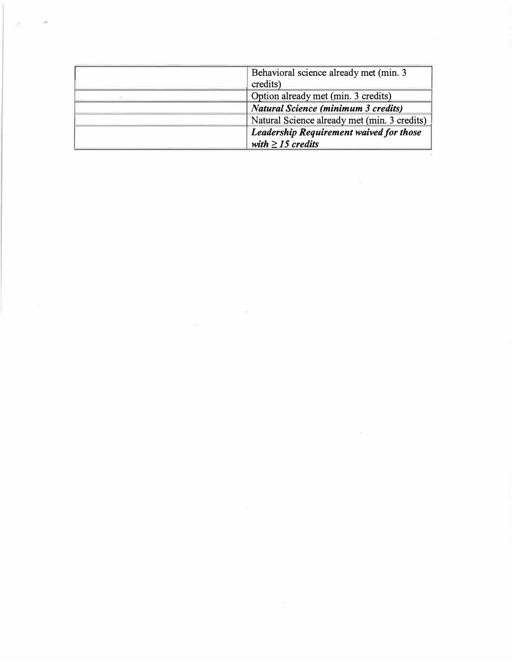| Behavioral science already met (min. 3)                           |
|-------------------------------------------------------------------|
| credits)                                                          |
| Option already met (min. 3 credits)                               |
| <b>Natural Science (minimum 3 credits)</b>                        |
| Natural Science already met (min. 3 credits)                      |
| Leadership Requirement waived for those<br>with $\geq$ 15 credits |

 $\mathcal{L}_{\rm{max}}$  , where  $\mathcal{L}_{\rm{max}}$ 

 $\sim 10^{-10}$  km s  $^{-1}$ 

...